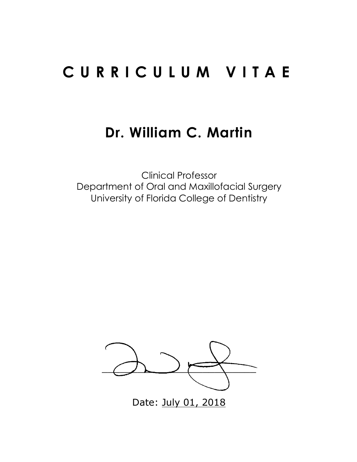# **CURRICULUM VITAE**

# **Dr. William C. Martin**

Clinical Professor Department of Oral and Maxillofacial Surgery University of Florida College of Dentistry



Date: July 01, 2018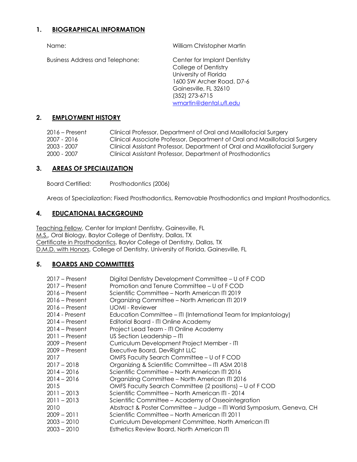# **1. BIOGRAPHICAL INFORMATION**

Business Address and Telephone: Center for Implant Dentistry

Name: William Christopher Martin

College of Dentistry University of Florida 1600 SW Archer Road. D7-6 Gainesville, FL 32610 (352) 273-6715 wmartin@dental.ufl.edu

# **2. EMPLOYMENT HISTORY**

| 2016 – Present | Clinical Professor, Department of Oral and Maxillofacial Surgery           |
|----------------|----------------------------------------------------------------------------|
| 2007 - 2016    | Clinical Associate Professor, Department of Oral and Maxillofacial Surgery |
| 2003 - 2007    | Clinical Assistant Professor, Department of Oral and Maxillofacial Surgery |
| 2000 - 2007    | Clinical Assistant Professor, Department of Prosthodontics                 |

# **3. AREAS OF SPECIALIZATION**

Board Certified: Prosthodontics (2006)

Areas of Specialization: Fixed Prosthodontics, Removable Prosthodontics and Implant Prosthodontics.

## **4. EDUCATIONAL BACKGROUND**

Teaching Fellow, Center for Implant Dentistry, Gainesville, FL M.S., Oral Biology, Baylor College of Dentistry, Dallas, TX Certificate in Prosthodontics, Baylor College of Dentistry, Dallas, TX D.M.D. with Honors, College of Dentistry, University of Florida, Gainesville, FL

# **5. BOARDS AND COMMITTEES**

| Digital Dentistry Development Committee - U of F COD                  |
|-----------------------------------------------------------------------|
| Promotion and Tenure Committee – U of F COD                           |
| Scientific Committee – North American ITI 2019                        |
| Organizing Committee - North American ITI 2019                        |
| <b>IJOMI - Reviewer</b>                                               |
| Education Committee - ITI (International Team for Implantology)       |
| Editorial Board - ITI Online Academy                                  |
| Project Lead Team - ITI Online Academy                                |
| US Section Leadership - ITI                                           |
| Curriculum Development Project Member - ITI                           |
| Executive Board, DevRight LLC                                         |
| OMFS Faculty Search Committee - U of F COD                            |
| Organizing & Scientific Committee - ITI ASM 2018                      |
| Scientific Committee – North American ITI 2016                        |
| Organizing Committee - North American ITI 2016                        |
| OMFS Faculty Search Committee (2 positions) – U of F COD              |
| Scientific Committee - North American ITI - 2014                      |
| Scientific Committee – Academy of Osseointegration                    |
| Abstract & Poster Committee - Judge - ITI World Symposium, Geneva, CH |
| Scientific Committee - North American ITI 2011                        |
| Curriculum Development Committee, North American ITI                  |
| Esthetics Review Board, North American ITI                            |
|                                                                       |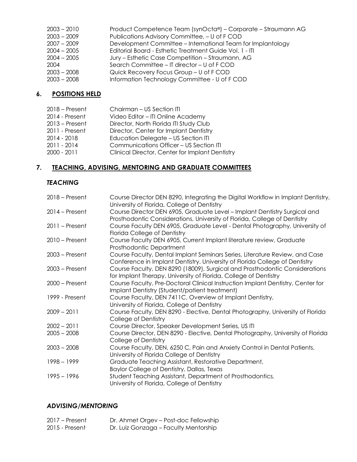| $2003 - 2010$ | Product Competence Team (synOcta®) – Corporate – Straumann AG |
|---------------|---------------------------------------------------------------|
| $2003 - 2009$ | Publications Advisory Committee, - U of F COD                 |
| $2007 - 2009$ | Development Committee - International Team for Implantology   |
| $2004 - 2005$ | Editorial Board - Esthetic Treatment Guide Vol. 1 - ITI       |
| $2004 - 2005$ | Jury – Esthetic Case Competition – Straumann, AG              |
| 2004          | Search Committee - IT director - U of F COD                   |
| $2003 - 2008$ | Quick Recovery Focus Group - U of F COD                       |
| $2003 - 2008$ | Information Technology Committee - U of FCOD                  |

# **6. POSITIONS HELD**

| 2018 – Present | Chairman - US Section ITI                       |
|----------------|-------------------------------------------------|
| 2014 - Present | Video Editor - ITI Online Academy               |
| 2013 – Present | Director, North Florida ITI Study Club          |
| 2011 - Present | Director, Center for Implant Dentistry          |
| 2014 - 2018    | Education Delegate - US Section ITI             |
| 2011 - 2014    | Communications Officer - US Section ITI         |
| 2000 - 2011    | Clinical Director, Center for Implant Dentistry |
|                |                                                 |

# **7. TEACHING, ADVISING, MENTORING AND GRADUATE COMMITTEES**

# *TEACHING*

| $2018 -$ Present | Course Director DEN 8290, Integrating the Digital Workflow in Implant Dentistry,<br>University of Florida, College of Dentistry                            |
|------------------|------------------------------------------------------------------------------------------------------------------------------------------------------------|
| $2014$ – Present | Course Director DEN 6905, Graduate Level - Implant Dentistry Surgical and<br>Prosthodontic Considerations, University of Florida, College of Dentistry     |
| $2011$ – Present | Course Faculty DEN 6905, Graduate Level - Dental Photography, University of<br>Florida College of Dentistry                                                |
| $2010 - Present$ | Course Faculty DEN 6905, Current Implant literature review, Graduate<br>Prosthodontic Department                                                           |
| $2003$ – Present | Course Faculty, Dental Implant Seminars Series, Literature Review, and Case<br>Conference in Implant Dentistry. University of Florida College of Dentistry |
| $2003$ – Present | Course Faculty, DEN 8290 (18009), Surgical and Prosthodontic Considerations<br>for Implant Therapy. University of Florida, College of Dentistry            |
| $2000$ – Present | Course Faculty, Pre-Doctoral Clinical Instruction Implant Dentistry, Center for<br>Implant Dentistry (Student/patient treatment)                           |
| 1999 - Present   | Course Faculty, DEN 7411C, Overview of Implant Dentistry,<br>University of Florida, College of Dentistry                                                   |
| $2009 - 2011$    | Course Faculty, DEN 8290 - Elective, Dental Photography, University of Florida<br>College of Dentistry                                                     |
| $2002 - 2011$    | Course Director, Speaker Development Series, US ITI                                                                                                        |
| $2005 - 2008$    | Course Director, DEN 8290 - Elective, Dental Photography, University of Florida<br>College of Dentistry                                                    |
| $2003 - 2008$    | Course Faculty, DEN, 6250 C, Pain and Anxiety Control in Dental Patients,<br>University of Florida College of Dentistry                                    |
| $1998 - 1999$    | Graduate Teaching Assistant, Restorative Department,<br>Baylor College of Dentistry, Dallas, Texas                                                         |
| $1995 - 1996$    | Student Teaching Assistant, Department of Prosthodontics,<br>University of Florida, College of Dentistry                                                   |

# *ADVISING/MENTORING*

| $2017$ – Present | Dr. Ahmet Orgev - Post-doc Fellowship |
|------------------|---------------------------------------|
| 2015 - Present   | Dr. Luiz Gonzaga - Faculty Mentorship |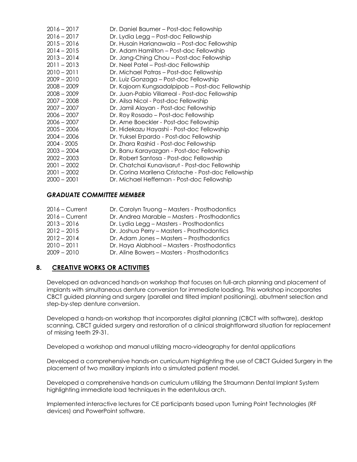| $2016 - 2017$ | Dr. Daniel Baumer – Post-doc Fellowship             |
|---------------|-----------------------------------------------------|
| $2016 - 2017$ | Dr. Lydia Legg - Post-doc Fellowship                |
| $2015 - 2016$ | Dr. Husain Harianawala - Post-doc Fellowship        |
| $2014 - 2015$ | Dr. Adam Hamilton – Post-doc Fellowship             |
| $2013 - 2014$ | Dr. Jang-Ching Chou – Post-doc Fellowship           |
| $2011 - 2013$ | Dr. Neel Patel - Post-doc Fellowship                |
| $2010 - 2011$ | Dr. Michael Patras - Post-doc Fellowship            |
| $2009 - 2010$ | Dr. Luiz Gonzaga - Post-doc Fellowship              |
| $2008 - 2009$ | Dr. Kajoorn Kungsadalpipob - Post-doc Fellowship    |
| $2008 - 2009$ | Dr. Juan-Pablo Villarreal - Post-doc Fellowship     |
| $2007 - 2008$ | Dr. Ailsa Nicol - Post-doc Fellowship               |
| $2007 - 2007$ | Dr. Jamil Alayan - Post-doc Fellowship              |
| $2006 - 2007$ | Dr. Roy Rosado – Post-doc Fellowship                |
| $2006 - 2007$ | Dr. Arne Boeckler - Post-doc Fellowship             |
| $2005 - 2006$ | Dr. Hidekazu Hayashi - Post-doc Fellowship          |
| $2004 - 2006$ | Dr. Yuksel Erpardo - Post-doc Fellowship            |
| 2004 - 2005   | Dr. Zhara Rashid - Post-doc Fellowship              |
| $2003 - 2004$ | Dr. Banu Karayazgan - Post-doc Fellowship           |
| $2002 - 2003$ | Dr. Robert Santosa - Post-doc Fellowship            |
| $2001 - 2002$ | Dr. Chatchai Kunavisarut - Post-doc Fellowship      |
| $2001 - 2002$ | Dr. Corina Marilena Cristache - Post-doc Fellowship |
| $2000 - 2001$ | Dr. Michael Heffernan - Post-doc Fellowship         |

# *GRADUATE COMMITTEE MEMBER*

| $2016 -$ Current | Dr. Carolyn Truong - Masters - Prosthodontics |
|------------------|-----------------------------------------------|
| $2016 -$ Current | Dr. Andrea Marable - Masters - Prosthodontics |
| $2013 - 2016$    | Dr. Lydia Legg – Masters - Prosthodontics     |
| $2012 - 2015$    | Dr. Joshua Perry - Masters - Prosthodontics   |
| $2012 - 2014$    | Dr. Adam Jones – Masters – Prosthodontics     |
| $2010 - 2011$    | Dr. Haya Alabhool – Masters - Prosthodontics  |
| $2009 - 2010$    | Dr. Aline Bowers - Masters - Prosthodontics   |

# **8. CREATIVE WORKS OR ACTIVITIES**

Developed an advanced hands-on workshop that focuses on full-arch planning and placement of implants with simultaneous denture conversion for immediate loading. This workshop incorporates CBCT guided planning and surgery (parallel and tilted implant positioning), abutment selection and step-by-step denture conversion.

Developed a hands-on workshop that incorporates digital planning (CBCT with software), desktop scanning, CBCT guided surgery and restoration of a clinical straightforward situation for replacement of missing teeth 29-31.

Developed a workshop and manual utilizing macro-videography for dental applications

Developed a comprehensive hands-on curriculum highlighting the use of CBCT Guided Surgery in the placement of two maxillary implants into a simulated patient model.

Developed a comprehensive hands-on curriculum utilizing the Straumann Dental Implant System highlighting immediate load techniques in the edentulous arch.

Implemented interactive lectures for CE participants based upon Turning Point Technologies (RF devices) and PowerPoint software.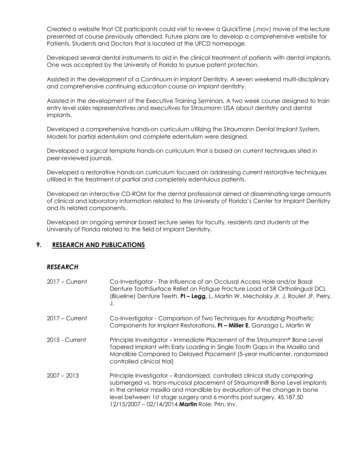Created a website that CE participants could visit to review a QuickTime (.mov) movie of the lecture presented at course previously attended. Future plans are to develop a comprehensive website for Patients, Students and Doctors that is located at the UFCD homepage.

Developed several dental instruments to aid in the clinical treatment of patients with dental implants. One was accepted by the University of Florida to pursue patent protection.

Assisted in the development of a Continuum in Implant Dentistry, A seven weekend multi-disciplinary and comprehensive continuing education course on implant dentistry.

Assisted in the development of the Executive Training Seminars, A two week course designed to train entry level sales representatives and executives for Straumann USA about dentistry and dental implants.

Developed a comprehensive hands-on curriculum utilizing the Straumann Dental Implant System. Models for partial edentulism and complete edentulism were designed.

Developed a surgical template hands-on curriculum that is based on current techniques sited in peer-reviewed journals.

Developed a restorative hands-on curriculum focused on addressing current restorative techniques utilized in the treatment of partial and completely edentulous patients.

Developed an interactive CD-ROM for the dental professional aimed at disseminating large amounts of clinical and laboratory information related to the University of Florida's Center for Implant Dentistry and its related components.

Developed an ongoing seminar based lecture series for faculty, residents and students at the University of Florida related to the field of Implant Dentistry.

## **9. RESEARCH AND PUBLICATIONS**

## *RESEARCH*

| $2017 -$ Current | Co-Investigator - The Influence of an Occlusal Access Hole and/or Basal<br>Denture ToothSurface Relief on Fatigue Fracture Load of SR Ortholingual DCL<br>(Blueline) Denture Teeth. PI - Legg, L, Martin W, Mecholsky Jr. J, Roulet JF, Perry,<br>J.                                                                                                       |
|------------------|------------------------------------------------------------------------------------------------------------------------------------------------------------------------------------------------------------------------------------------------------------------------------------------------------------------------------------------------------------|
| $2017 -$ Current | Co-Investigator - Comparison of Two Techniques for Anodizing Prosthetic<br>Components for Implant Restorations. PI - Miller E, Gonzaga L, Martin W                                                                                                                                                                                                         |
| 2015 - Current   | Principle Investigator - Immediate Placement of the Straumann® Bone Level<br>Tapered Implant with Early Loading in Single Tooth Gaps in the Maxilla and<br>Mandible Compared to Delayed Placement (5-year multicenter, randomized<br>controlled clinical trial)                                                                                            |
| $2007 - 2013$    | Principle Investigator - Randomized, controlled clinical study comparing<br>submerged vs. trans-mucosal placement of Straumann® Bone Level implants<br>in the anterior maxilla and mandible by evaluation of the change in bone<br>level between 1st stage surgery and 6 months post surgery. 45,187.50<br>12/15/2007 - 02/14/2014 Martin Role: Prin. Inv. |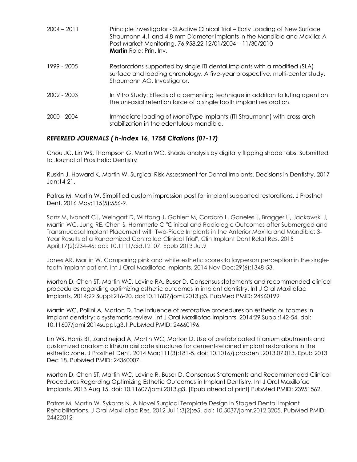| $2004 - 2011$ | Principle Investigator - SLActive Clinical Trial – Early Loading of New Surface<br>Straumann 4.1 and 4.8 mm Diameter Implants in the Mandible and Maxilla: A<br>Post Market Monitoring. 76,958.22 12/01/2004 - 11/30/2010<br><b>Martin</b> Role: Prin. Inv. |
|---------------|-------------------------------------------------------------------------------------------------------------------------------------------------------------------------------------------------------------------------------------------------------------|
| 1999 - 2005   | Restorations supported by single ITI dental implants with a modified (SLA)<br>surface and loading chronology. A five-year prospective, multi-center study.<br>Straumann AG, Investigator.                                                                   |
| 2002 - 2003   | In Vitro Study: Effects of a cementing technique in addition to luting agent on<br>the uni-axial retention force of a single tooth implant restoration.                                                                                                     |
| 2000 - 2004   | Immediate loading of MonoType Implants (ITI-Straumann) with cross-arch<br>stabilization in the edentulous mandible.                                                                                                                                         |

# *REFEREED JOURNALS ( h-index 16, 1758 Citations (01-17)*

Chou JC, Lin WS, Thompson G, Martin WC. Shade analysis by digitally flipping shade tabs. Submitted to Journal of Prosthetic Dentistry

Ruskin J, Howard K, Martin W. Surgical Risk Assessment for Dental Implants. Decisions in Dentistry. 2017 Jan:14-21.

Patras M, Martin W. Simplified custom impression post for implant supported restorations. J Prosthet Dent. 2016 May;115(5):556-9.

Sanz M, Ivanoff CJ, Weingart D, Wiltfang J, Gahlert M, Cordaro L, Ganeles J, Bragger U, Jackowski J, Martin WC, Jung RE, Chen S, Hammerle C "Clinical and Radiologic Outcomes after Submerged and Transmucosal Implant Placement with Two-Piece Implants in the Anterior Maxilla and Mandible: 3- Year Results of a Randomized Controlled Clinical Trial", Clin Implant Dent Relat Res. 2015 April;17(2):234-46; doi: 10.1111/cid.12107. Epub 2013 Jul.9

Jones AR, Martin W. Comparing pink and white esthetic scores to layperson perception in the singletooth implant patient. Int J Oral Maxillofac Implants. 2014 Nov-Dec;29(6):1348-53.

Morton D, Chen ST, Martin WC, Levine RA, Buser D. Consensus statements and recommended clinical procedures regarding optimizing esthetic outcomes in implant dentistry. Int J Oral Maxillofac Implants. 2014;29 Suppl:216-20. doi:10.11607/jomi.2013.g3. PubMed PMID: 24660199

Martin WC, Pollini A, Morton D. The influence of restorative procedures on esthetic outcomes in implant dentistry: a systematic review. Int J Oral Maxillofac Implants. 2014;29 Suppl:142-54. doi: 10.11607/jomi 2014suppl.g3.1.PubMed PMID: 24660196.

Lin WS, Harris BT, Zandinejad A, Martin WC, Morton D. Use of prefabricated titanium abutments and customized anatomic lithium disilicate structures for cement-retained implant restorations in the esthetic zone. J Prosthet Dent. 2014 Mar;111(3):181-5. doi: 10.1016/j.prosdent.2013.07.013. Epub 2013 Dec 18. PubMed PMID: 24360007.

Morton D, Chen ST, Martin WC, Levine R, Buser D. Consensus Statements and Recommended Clinical Procedures Regarding Optimizing Esthetic Outcomes in Implant Dentistry. Int J Oral Maxillofac Implants. 2013 Aug 15. doi: 10.11607/jomi.2013.g3. [Epub ahead of print] PubMed PMID: 23951562.

Patras M, Martin W, Sykaras N. A Novel Surgical Template Design in Staged Dental Implant Rehabilitations. J Oral Maxillofac Res. 2012 Jul 1;3(2):e5. doi: 10.5037/jomr.2012.3205. PubMed PMID: 24422012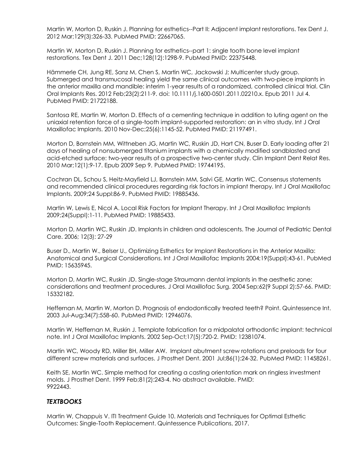Martin W, Morton D, Ruskin J. Planning for esthetics--Part II: Adjacent implant restorations. Tex Dent J. 2012 Mar;129(3):326-33. PubMed PMID: 22667065.

Martin W, Morton D, Ruskin J. Planning for esthetics--part 1: single tooth bone level implant restorations. Tex Dent J. 2011 Dec;128(12):1298-9. PubMed PMID: 22375448.

Hämmerle CH, Jung RE, Sanz M, Chen S, Martin WC, Jackowski J; Multicenter study group. Submerged and transmucosal healing yield the same clinical outcomes with two-piece implants in the anterior maxilla and mandible: interim 1-year results of a randomized, controlled clinical trial. Clin Oral Implants Res. 2012 Feb;23(2):211-9. doi: 10.1111/j.1600-0501.2011.02210.x. Epub 2011 Jul 4. PubMed PMID: 21722188.

Santosa RE, Martin W, Morton D. Effects of a cementing technique in addition to luting agent on the uniaxial retention force of a single-tooth implant-supported restoration: an in vitro study. Int J Oral Maxillofac Implants. 2010 Nov-Dec;25(6):1145-52. PubMed PMID: 21197491.

Morton D, Bornstein MM, Wittneben JG, Martin WC, Ruskin JD, Hart CN, Buser D. Early loading after 21 days of healing of nonsubmerged titanium implants with a chemically modified sandblasted and acid-etched surface: two-year results of a prospective two-center study. Clin Implant Dent Relat Res. 2010 Mar;12(1):9-17. Epub 2009 Sep 9. PubMed PMID: 19744195.

Cochran DL, Schou S, Heitz-Mayfield LJ, Bornstein MM, Salvi GE, Martin WC. Consensus statements and recommended clinical procedures regarding risk factors in implant therapy. Int J Oral Maxillofac Implants. 2009;24 Suppl:86-9. PubMed PMID: 19885436.

Martin W, Lewis E, Nicol A. Local Risk Factors for Implant Therapy. Int J Oral Maxillofac Implants 2009;24(Suppl):1-11. PubMed PMID: 19885433.

Morton D, Martin WC, Ruskin JD. Implants in children and adolescents. The Journal of Pediatric Dental Care. 2006; 12(3): 27-29

Buser D., Martin W., Belser U., Optimizing Esthetics for Implant Restorations in the Anterior Maxilla: Anatomical and Surgical Considerations. Int J Oral Maxillofac Implants 2004;19(Suppl):43-61. PubMed PMID: 15635945.

Morton D, Martin WC, Ruskin JD. Single-stage Straumann dental implants in the aesthetic zone: considerations and treatment procedures. J Oral Maxillofac Surg. 2004 Sep;62(9 Suppl 2):57-66. PMID: 15332182.

Heffernan M, Martin W, Morton D. Prognosis of endodontically treated teeth? Point. Quintessence Int. 2003 Jul-Aug;34(7):558-60. PubMed PMID: 12946076.

Martin W, Heffernan M, Ruskin J. Template fabrication for a midpalatal orthodontic implant: technical note. Int J Oral Maxillofac Implants. 2002 Sep-Oct;17(5):720-2. PMID: 12381074.

Martin WC, Woody RD, Miller BH, Miller AW. Implant abutment screw rotations and preloads for four different screw materials and surfaces. J Prosthet Dent. 2001 Jul;86(1):24-32. PubMed PMID: 11458261.

Keith SE, Martin WC. Simple method for creating a casting orientation mark on ringless investment molds. J Prosthet Dent. 1999 Feb;81(2):243-4. No abstract available. PMID: 9922443.

# *TEXTBOOKS*

Martin W, Chappuis V. ITI Treatment Guide 10. Materials and Techniques for Optimal Esthetic Outcomes: Single-Tooth Replacement. Quintessence Publications, 2017.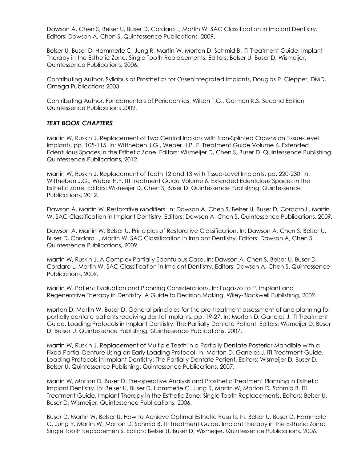Dawson A, Chen S, Belser U, Buser D, Cordaro L, Martin W. SAC Classification in Implant Dentistry. Editors: Dawson A, Chen S. Quintessence Publications, 2009.

Belser U, Buser D, Hammerle C, Jung R, Martin W, Morton D, Schmid B. ITI Treatment Guide. Implant Therapy in the Esthetic Zone: Single Tooth Replacements. Editors: Belser U, Buser D, Wismeijer. Quintessence Publications, 2006.

Contributing Author, Syllabus of Prosthetics for Osseointegrated Implants, Douglas P. Clepper, DMD, Omega Publications 2003.

Contributing Author, Fundamentals of Periodontics, Wilson T.G., Gorman K.S. Second Edition Quintessence Publications 2002.

## *TEXT BOOK CHAPTERS*

Martin W, Ruskin J. Replacement of Two Central Incisors with Non-Splinted Crowns on Tissue-Level Implants. pp. 105-115. In: Wittneben J.G., Weber H.P. ITI Treatment Guide Volume 6. Extended Edentulous Spaces in the Esthetic Zone. Editors: Wismeijer D, Chen S, Buser D. Quintessence Publishing. Quintessence Publications, 2012.

Martin W, Ruskin J. Replacement of Teeth 12 and 13 with Tissue-Level Implants. pp. 220-230. In: Wittneben J.G., Weber H.P. ITI Treatment Guide Volume 6. Extended Edentulous Spaces in the Esthetic Zone. Editors: Wismeijer D, Chen S, Buser D. Quintessence Publishing. Quintessence Publications, 2012.

Dawson A, Martin W. Restorative Modifiers. In: Dawson A, Chen S, Belser U, Buser D, Cordaro L, Martin W. SAC Classification in Implant Dentistry. Editors: Dawson A, Chen S. Quintessence Publications, 2009.

Dawson A, Martin W, Belser U. Principles of Restorative Classification. In: Dawson A, Chen S, Belser U, Buser D, Cordaro L, Martin W. SAC Classification in Implant Dentistry. Editors: Dawson A, Chen S. Quintessence Publications, 2009.

Martin W, Ruskin J. A Complex Partially Edentulous Case. In: Dawson A, Chen S, Belser U, Buser D, Cordaro L, Martin W. SAC Classification in Implant Dentistry. Editors: Dawson A, Chen S. Quintessence Publications, 2009.

Martin W. Patient Evaluation and Planning Considerations. In: Fugazzotto P. Implant and Regenerative Therapy in Dentistry. A Guide to Decision Making. Wiley-Blackwell Publishing, 2009.

Morton D, Martin W, Buser D. General principles for the pre-treatment assessment of and planning for partially dentate patients receiving dental implants. pp. 19-27. In: Morton D, Ganeles J. ITI Treatment Guide. Loading Protocols in Implant Dentistry: The Partially Dentate Patient. Editors: Wismeijer D, Buser D, Belser U. Quintessence Publishing. Quintessence Publications, 2007.

Martin W, Ruskin J. Replacement of Multiple Teeth in a Partially Dentate Posterior Mandible with a Fixed Partial Denture Using an Early Loading Protocol. In: Morton D, Ganeles J. ITI Treatment Guide. Loading Protocols in Implant Dentistry: The Partially Dentate Patient. Editors: Wismeijer D, Buser D, Belser U. Quintessence Publishing. Quintessence Publications, 2007.

Martin W, Morton D, Buser D. Pre-operative Analysis and Prosthetic Treatment Planning in Esthetic Implant Dentistry. In: Belser U, Buser D, Hammerle C, Jung R, Martin W, Morton D, Schmid B. ITI Treatment Guide. Implant Therapy in the Esthetic Zone: Single Tooth Replacements. Editors: Belser U, Buser D, Wismeijer. Quintessence Publications, 2006.

Buser D, Martin W, Belser U. How to Achieve Optimal Esthetic Results. In: Belser U, Buser D, Hammerle C, Jung R, Martin W, Morton D, Schmid B. ITI Treatment Guide. Implant Therapy in the Esthetic Zone: Single Tooth Replacements. Editors: Belser U, Buser D, Wismeijer. Quintessence Publications, 2006.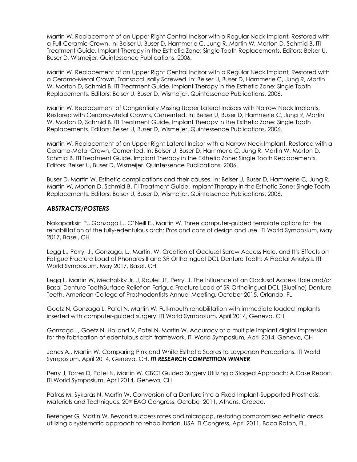Martin W. Replacement of an Upper Right Central Incisor with a Regular Neck Implant, Restored with a Full-Ceramic Crown. In: Belser U, Buser D, Hammerle C, Jung R, Martin W, Morton D, Schmid B. ITI Treatment Guide. Implant Therapy in the Esthetic Zone: Single Tooth Replacements. Editors: Belser U, Buser D, Wismeijer. Quintessence Publications, 2006.

Martin W. Replacement of an Upper Right Central Incisor with a Regular Neck Implant, Restored with a Ceramo-Metal Crown, Transocclusally Screwed. In: Belser U, Buser D, Hammerle C, Jung R, Martin W, Morton D, Schmid B. ITI Treatment Guide. Implant Therapy in the Esthetic Zone: Single Tooth Replacements. Editors: Belser U, Buser D, Wismeijer. Quintessence Publications, 2006.

Martin W. Replacement of Congentially Missing Upper Lateral Incisors with Narrow Neck Implants, Restored with Ceramo-Metal Crowns, Cemented. In: Belser U, Buser D, Hammerle C, Jung R, Martin W, Morton D, Schmid B. ITI Treatment Guide. Implant Therapy in the Esthetic Zone: Single Tooth Replacements. Editors: Belser U, Buser D, Wismeijer. Quintessence Publications, 2006.

Martin W. Replacement of an Upper Right Lateral Incisor with a Narrow Neck Implant, Restored with a Ceramo-Metal Crown, Cemented. In: Belser U, Buser D, Hammerle C, Jung R, Martin W, Morton D, Schmid B. ITI Treatment Guide. Implant Therapy in the Esthetic Zone: Single Tooth Replacements. Editors: Belser U, Buser D, Wismeijer. Quintessence Publications, 2006.

Buser D, Martin W. Esthetic complications and their causes. In: Belser U, Buser D, Hammerle C, Jung R, Martin W, Morton D, Schmid B. ITI Treatment Guide. Implant Therapy in the Esthetic Zone: Single Tooth Replacements. Editors: Belser U, Buser D, Wismeijer. Quintessence Publications, 2006.

## *ABSTRACTS/POSTERS*

Nakaparksin P., Gonzaga L., O'Neill E., Martin W. Three computer-guided template options for the rehabilitation of the fully-edentulous arch: Pros and cons of design and use. ITI World Symposium, May 2017, Basel, CH

Legg L., Perry, J., Gonzaga, L., Martin, W. Creation of Occlusal Screw Access Hole, and It's Effects on Fatigue Fracture Load of Phonares II and SR Ortholingual DCL Denture Teeth: A Fractal Analysis. ITI World Symposium, May 2017, Basel, CH

Legg L, Martin W, Mecholsky Jr. J, Roulet JF, Perry, J. The Influence of an Occlusal Access Hole and/or Basal Denture ToothSurface Relief on Fatigue Fracture Load of SR Ortholingual DCL (Blueline) Denture Teeth. American College of Prosthodontists Annual Meeting, October 2015, Orlando, FL

Goetz N, Gonzaga L, Patel N, Martin W. Full-mouth rehabilitation with immediate loaded implants inserted with computer-guided surgery. ITI World Symposium, April 2014, Geneva, CH

Gonzaga L, Goetz N, Holland V, Patel N, Martin W. Accuracy of a multiple implant digital impression for the fabrication of edentulous arch framework. ITI World Symposium, April 2014, Geneva, CH

Jones A., Martin W. Comparing Pink and White Esthetic Scores to Layperson Perceptions. ITI World Symposium, April 2014, Geneva, CH. *ITI RESEARCH COMPETITION WINNER*

Perry J, Torres D, Patel N, Martin W. CBCT Guided Surgery Utilizing a Staged Approach: A Case Report. ITI World Symposium, April 2014, Geneva, CH

Patras M, Sykaras N, Martin W. Conversion of a Denture into a Fixed Implant-Supported Prosthesis: Materials and Techniques. 20th EAO Congress, October 2011, Athens, Greece.

Berenger G, Martin W. Beyond success rates and microgap, restoring compromised esthetic areas utilizing a systematic approach to rehabilitation. USA ITI Congress, April 2011, Boca Raton, FL.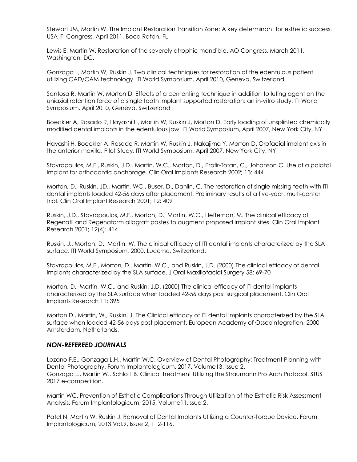Stewart JM, Martin W. The Implant Restoration Transition Zone: A key determinant for esthetic success. USA ITI Congress, April 2011, Boca Raton, FL

Lewis E, Martin W. Restoration of the severely atrophic mandible. AO Congress, March 2011, Washington, DC.

Gonzaga L, Martin W, Ruskin J. Two clinical techniques for restoration of the edentulous patient utilizing CAD/CAM technology. ITI World Symposium, April 2010, Geneva, Switzerland

Santosa R, Martin W, Morton D, Effects of a cementing technique in addition to luting agent on the uniaxial retention force of a single tooth implant supported restoration: an in-vitro study. ITI World Symposium, April 2010, Geneva, Switzerland

Boeckler A, Rosado R, Hayashi H, Martin W, Ruskin J, Morton D. Early loading of unsplinted chemically modified dental implants in the edentulous jaw. ITI World Symposium, April 2007, New York City, NY

Hayashi H, Boeckler A, Rosado R, Martin W, Ruskin J, Nakajima Y, Morton D. Orofacial implant axis in the anterior maxilla. Pilot Study. ITI World Symposium, April 2007, New York City, NY

Stavropoulos, M.F., Ruskin, J.D., Martin, W.C., Morton, D., Profir-Tofan, C., Johanson C. Use of a palatal implant for orthodontic anchorage. Clin Oral Implants Research 2002; 13: 444

Morton, D., Ruskin, JD., Martin, WC., Buser, D., Dahlin, C. The restoration of single missing teeth with ITI dental implants loaded 42-56 days after placement. Preliminary results of a five-year, multi-center trial. Clin Oral Implant Research 2001; 12: 409

Ruskin, J.D., Stavropoulos, M.F., Morton, D., Martin, W.C., Heffernan, M. The clinical efficacy of Regenafil and Regenaform allograft pastes to augment proposed implant sites. Clin Oral Implant Research 2001; 12(4): 414

Ruskin, J., Morton, D., Martin, W. The clinical efficacy of ITI dental implants characterized by the SLA surface. ITI World Symposium, 2000, Lucerne, Switzerland.

Stavropoulos, M.F., Morton, D., Martin, W.C., and Ruskin, J.D. (2000) The clinical efficacy of dental implants characterized by the SLA surface. J Oral Maxillofacial Surgery 58: 69-70

Morton, D., Martin, W.C., and Ruskin, J.D. (2000) The clinical efficacy of ITI dental implants characterized by the SLA surface when loaded 42-56 days post surgical placement. Clin Oral Implants Research 11: 395

Morton D., Martin, W., Ruskin, J. The Clinical efficacy of ITI dental implants characterized by the SLA surface when loaded 42-56 days post placement. European Academy of Osseointegration, 2000, Amsterdam, Netherlands.

### *NON-REFEREED JOURNALS*

Lozano F.E., Gonzaga L.H., Martin W.C. Overview of Dental Photography: Treatment Planning with Dental Photography. Forum Implantologicum. 2017. Volume13. Issue 2. Gonzaga L., Martin W., Schlott B. Clinical Treatment Utilizing the Straumann Pro Arch Protocol. STUS 2017 e-competition.

Martin WC. Prevention of Esthetic Complications Through Utilization of the Esthetic Risk Assessment Analysis. Forum Implantologicum. 2015. Volume11.Issue 2.

Patel N, Martin W, Ruskin J. Removal of Dental Implants Utilizing a Counter-Torque Device. Forum Implantologicum, 2013 Vol.9, Issue 2, 112-116.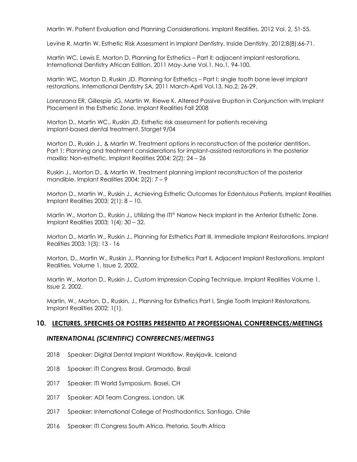Martin W. Patient Evaluation and Planning Considerations. Implant Realities. 2012 Vol. 2, 51-55.

Levine R, Martin W. Esthetic Risk Assessment in Implant Dentistry. Inside Dentistry. 2012;8(8):66-71.

Martin WC, Lewis E, Morton D. Planning for Esthetics – Part II: adjacent implant restorations. International Dentistry African Edition, 2011 May-June Vol.1, No.1, 94-100.

Martin WC, Morton D, Ruskin JD. Planning for Esthetics – Part I: single tooth bone level implant restorations. International Dentistry SA, 2011 March-April Vol.13, No.2, 26-29.

Lorenzana ER, Gillespie JG, Martin W, Riewe K. Altered Passive Eruption in Conjunction with Implant Placement in the Esthetic Zone. Implant Realities Fall 2008

Morton D., Martin WC., Ruskin JD. Esthetic risk assessment for patients receiving implant-based dental treatment. Starget 9/04

Morton D., Ruskin J., & Martin W. Treatment options in reconstruction of the posterior dentition. Part 1: Planning and treatment considerations for implant-assisted restorations in the posterior maxilla: Non-esthetic. Implant Realities 2004; 2(2): 24 – 26

Ruskin J., Morton D., & Martin W. Treatment planning implant reconstruction of the posterior mandible. Implant Realities 2004; 2(2): 7 – 9

Morton D., Martin W., Ruskin J., Achieving Esthetic Outcomes for Edentulous Patients. Implant Realities Implant Realities 2003; 2(1): 8 – 10.

Martin W., Morton D., Ruskin J., Utilizing the ITI® Narrow Neck Implant in the Anterior Esthetic Zone. Implant Realities 2003; 1(4): 30 – 32.

Morton D., Martin W., Ruskin J., Planning for Esthetics Part III, Immediate Implant Restorations. Implant Realities 2003; 1(3): 13 - 16

Morton, D., Martin W., Ruskin J., Planning for Esthetics Part II, Adjacent Implant Restorations. Implant Realities, Volume 1, Issue 2, 2002.

Martin W., Morton D., Ruskin J., Custom Impression Coping Technique. Implant Realities Volume 1, Issue 2, 2002.

Martin, W., Morton, D., Ruskin, J., Planning for Esthetics Part I, Single Tooth Implant Restorations. Implant Realities 2002; 1(1).

# **10. LECTURES, SPEECHES OR POSTERS PRESENTED AT PROFESSIONAL CONFERENCES/MEETINGS**

### *INTERNATIONAL (SCIENTIFIC) CONFERECNES/MEETINGS*

- 2018 Speaker: Digital Dental Implant Workflow. Reykjavik, Iceland
- 2018 Speaker: ITI Congress Brasil. Gramado, Brasil
- 2017 Speaker: ITI World Symposium. Basel, CH
- 2017 Speaker: ADI Team Congress. London, UK
- 2017 Speaker: International College of Prosthodontics. Santiago, Chile
- 2016 Speaker: ITI Congress South Africa. Pretoria, South Africa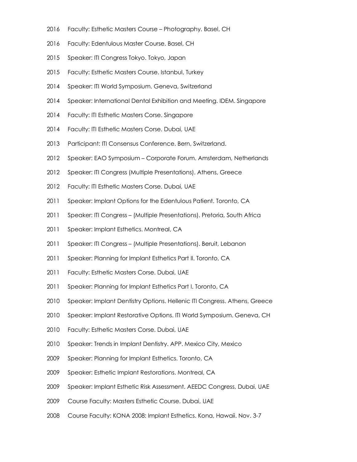- Faculty: Esthetic Masters Course Photography. Basel, CH
- Faculty: Edentulous Master Course. Basel, CH
- Speaker: ITI Congress Tokyo. Tokyo, Japan
- Faculty: Esthetic Masters Course. Istanbul, Turkey
- Speaker: ITI World Symposium. Geneva, Switzerland
- Speaker: International Dental Exhibition and Meeting. IDEM. Singapore
- Faculty: ITI Esthetic Masters Corse. Singapore
- Faculty: ITI Esthetic Masters Corse. Dubai, UAE
- Participant: ITI Consensus Conference. Bern, Switzerland.
- Speaker: EAO Symposium Corporate Forum. Amsterdam, Netherlands
- 2012 Speaker: ITI Congress (Multiple Presentations). Athens, Greece
- Faculty: ITI Esthetic Masters Corse. Dubai, UAE
- 2011 Speaker: Implant Options for the Edentulous Patient. Toronto, CA
- Speaker: ITI Congress (Multiple Presentations). Pretoria, South Africa
- Speaker: Implant Esthetics. Montreal, CA
- 2011 Speaker: ITI Congress (Multiple Presentations). Beruit, Lebanon
- 2011 Speaker: Planning for Implant Esthetics Part II. Toronto, CA
- 2011 Faculty: Esthetic Masters Corse. Dubai, UAE
- 2011 Speaker: Planning for Implant Esthetics Part I. Toronto, CA
- 2010 Speaker: Implant Dentistry Options. Hellenic ITI Congress. Athens, Greece
- 2010 Speaker: Implant Restorative Options. ITI World Symposium. Geneva, CH
- Faculty: Esthetic Masters Corse. Dubai, UAE
- Speaker: Trends in Implant Dentistry. APP. Mexico City, Mexico
- Speaker: Planning for Implant Esthetics. Toronto, CA
- Speaker: Esthetic Implant Restorations. Montreal, CA
- Speaker: Implant Esthetic Risk Assessment. AEEDC Congress, Dubai, UAE
- Course Faculty: Masters Esthetic Course. Dubai, UAE
- Course Faculty: KONA 2008: Implant Esthetics. Kona, Hawaii. Nov. 3-7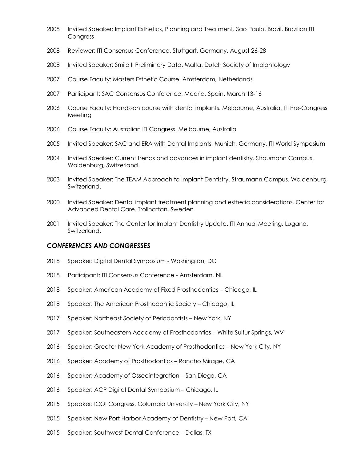- 2008 Invited Speaker: Implant Esthetics, Planning and Treatment. Sao Paulo, Brazil. Brazilian ITI Congress
- Reviewer: ITI Consensus Conference. Stuttgart, Germany. August 26-28
- Invited Speaker: Smile II Preliminary Data. Malta. Dutch Society of Implantology
- Course Faculty: Masters Esthetic Course. Amsterdam, Netherlands
- 2007 Participant: SAC Consensus Conference, Madrid, Spain. March 13-16
- 2006 Course Faculty: Hands-on course with dental implants. Melbourne, Australia, ITI Pre-Congress Meeting
- Course Faculty: Australian ITI Congress. Melbourne, Australia
- 2005 Invited Speaker: SAC and ERA with Dental Implants, Munich, Germany, ITI World Symposium
- Invited Speaker: Current trends and advances in implant dentistry. Straumann Campus. Waldenburg, Switzerland.
- Invited Speaker: The TEAM Approach to Implant Dentistry. Straumann Campus. Waldenburg, Switzerland.
- Invited Speaker: Dental implant treatment planning and esthetic considerations. Center for Advanced Dental Care. Trollhattan, Sweden
- Invited Speaker: The Center for Implant Dentistry Update. ITI Annual Meeting. Lugano, Switzerland.

#### *CONFERENCES AND CONGRESSES*

- Speaker: Digital Dental Symposium Washington, DC
- Participant: ITI Consensus Conference Amsterdam, NL
- Speaker: American Academy of Fixed Prosthodontics Chicago, IL
- Speaker: The American Prosthodontic Society Chicago, IL
- Speaker: Northeast Society of Periodontists New York, NY
- Speaker: Southeastern Academy of Prosthodontics White Sulfur Springs, WV
- Speaker: Greater New York Academy of Prosthodontics New York City, NY
- Speaker: Academy of Prosthodontics Rancho Mirage, CA
- Speaker: Academy of Osseointegration San Diego, CA
- Speaker: ACP Digital Dental Symposium Chicago, IL
- Speaker: ICOI Congress, Columbia University New York City, NY
- Speaker: New Port Harbor Academy of Dentistry New Port, CA
- Speaker: Southwest Dental Conference Dallas, TX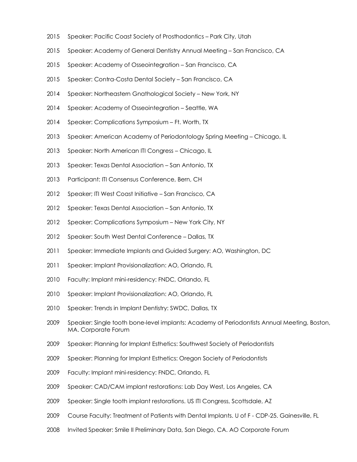- 2015 Speaker: Pacific Coast Society of Prosthodontics Park City, Utah
- 2015 Speaker: Academy of General Dentistry Annual Meeting San Francisco, CA
- 2015 Speaker: Academy of Osseointegration San Francisco, CA
- 2015 Speaker: Contra-Costa Dental Society San Francisco, CA
- 2014 Speaker: Northeastern Gnathological Society New York, NY
- 2014 Speaker: Academy of Osseointegration Seattle, WA
- 2014 Speaker: Complications Symposium Ft. Worth, TX
- 2013 Speaker: American Academy of Periodontology Spring Meeting Chicago, IL
- 2013 Speaker: North American ITI Congress Chicago, IL
- 2013 Speaker: Texas Dental Association San Antonio, TX
- 2013 Participant: ITI Consensus Conference, Bern, CH
- 2012 Speaker; ITI West Coast Initiative San Francisco, CA
- 2012 Speaker: Texas Dental Association San Antonio, TX
- 2012 Speaker: Complications Symposium New York City, NY
- 2012 Speaker: South West Dental Conference Dallas, TX
- 2011 Speaker: Immediate Implants and Guided Surgery: AO, Washington, DC
- 2011 Speaker: Implant Provisionalization: AO, Orlando, FL
- 2010 Faculty: Implant mini-residency: FNDC, Orlando, FL
- 2010 Speaker: Implant Provisionalization: AO, Orlando, FL
- 2010 Speaker: Trends in Implant Dentistry: SWDC, Dallas, TX
- 2009 Speaker: Single tooth bone-level implants: Academy of Periodontists Annual Meeting, Boston, MA. Corporate Forum
- 2009 Speaker: Planning for Implant Esthetics: Southwest Society of Periodontists
- 2009 Speaker: Planning for Implant Esthetics: Oregon Society of Periodontists
- 2009 Faculty: Implant mini-residency: FNDC, Orlando, FL
- 2009 Speaker: CAD/CAM implant restorations: Lab Day West, Los Angeles, CA
- 2009 Speaker: Single tooth implant restorations. US ITI Congress, Scottsdale, AZ
- 2009 Course Faculty: Treatment of Patients with Dental Implants. U of F CDP-25. Gainesville, FL
- 2008 Invited Speaker: Smile II Preliminary Data, San Diego, CA. AO Corporate Forum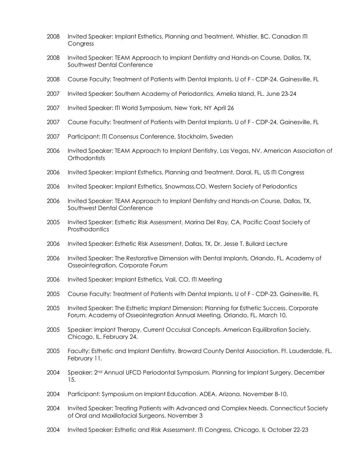- 2008 Invited Speaker: Implant Esthetics, Planning and Treatment, Whistler, BC. Canadian ITI **Congress**
- 2008 Invited Speaker: TEAM Approach to Implant Dentistry and Hands-on Course, Dallas, TX, Southwest Dental Conference
- 2008 Course Faculty: Treatment of Patients with Dental Implants. U of F CDP-24. Gainesville, FL
- 2007 Invited Speaker: Southern Academy of Periodontics, Amelia Island, FL. June 23-24
- 2007 Invited Speaker: ITI World Symposium, New York, NY April 26
- 2007 Course Faculty: Treatment of Patients with Dental Implants. U of F CDP-24. Gainesville, FL
- 2007 Participant: ITI Consensus Conference, Stockholm, Sweden
- 2006 Invited Speaker: TEAM Approach to Implant Dentistry, Las Vegas, NV, American Association of **Orthodontists**
- 2006 Invited Speaker: Implant Esthetics, Planning and Treatment, Doral, FL, US ITI Congress
- 2006 Invited Speaker: Implant Esthetics, Snowmass,CO, Western Society of Periodontics
- 2006 Invited Speaker: TEAM Approach to Implant Dentistry and Hands-on Course, Dallas, TX, Southwest Dental Conference
- 2005 Invited Speaker: Esthetic Risk Assessment, Marina Del Ray, CA, Pacific Coast Society of **Prosthodontics**
- 2006 Invited Speaker: Esthetic Risk Assessment, Dallas, TX, Dr. Jesse T. Bullard Lecture
- 2006 Invited Speaker: The Restorative Dimension with Dental Implants, Orlando, FL, Academy of Osseointegration, Corporate Forum
- 2006 Invited Speaker: Implant Esthetics, Vail, CO, ITI Meeting
- 2005 Course Faculty: Treatment of Patients with Dental Implants. U of F CDP-23. Gainesville, FL
- 2005 Invited Speaker: The Esthetic Implant Dimension: Planning for Esthetic Success. Corporate Forum. Academy of Osseointegration Annual Meeting, Orlando, FL. March 10.
- 2005 Speaker: Implant Therapy, Current Occulsal Concepts. American Equilibration Society. Chicago, IL. February 24.
- 2005 Faculty: Esthetic and Implant Dentistry. Broward County Dental Association. Ft. Lauderdale, FL. February 11.
- 2004 Speaker: 2<sup>nd</sup> Annual UFCD Periodontal Symposium. Planning for Implant Surgery. December 15.
- 2004 Participant: Symposium on Implant Education. ADEA, Arizona. November 8-10.
- 2004 Invited Speaker: Treating Patients with Advanced and Complex Needs. Connecticut Society of Oral and Maxillofacial Surgeons. November 3
- 2004 Invited Speaker: Esthetic and Risk Assessment. ITI Congress, Chicago, IL October 22-23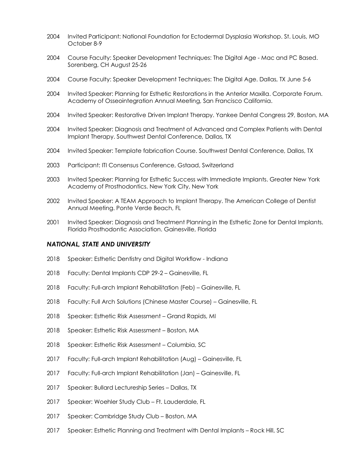- Invited Participant: National Foundation for Ectodermal Dysplasia Workshop. St. Louis, MO October 8-9
- Course Faculty: Speaker Development Techniques: The Digital Age Mac and PC Based. Sorenberg, CH August 25-26
- Course Faculty: Speaker Development Techniques: The Digital Age. Dallas, TX June 5-6
- Invited Speaker: Planning for Esthetic Restorations in the Anterior Maxilla. Corporate Forum. Academy of Osseointegration Annual Meeting, San Francisco California.
- Invited Speaker: Restorative Driven Implant Therapy. Yankee Dental Congress 29, Boston, MA
- Invited Speaker: Diagnosis and Treatment of Advanced and Complex Patients with Dental Implant Therapy. Southwest Dental Conference, Dallas, TX
- Invited Speaker: Template fabrication Course. Southwest Dental Conference, Dallas, TX
- Participant: ITI Consensus Conference, Gstaad, Switzerland
- Invited Speaker: Planning for Esthetic Success with Immediate Implants. Greater New York Academy of Prosthodontics. New York City, New York
- Invited Speaker: A TEAM Approach to Implant Therapy. The American College of Dentist Annual Meeting. Ponte Verde Beach, FL
- Invited Speaker: Diagnosis and Treatment Planning in the Esthetic Zone for Dental Implants. Florida Prosthodontic Association. Gainesville, Florida

### *NATIONAL, STATE AND UNIVERSITY*

- Speaker: Esthetic Dentistry and Digital Workflow Indiana
- Faculty: Dental Implants CDP 29-2 Gainesville, FL
- Faculty: Full-arch Implant Rehabilitation (Feb) Gainesville, FL
- Faculty: Full Arch Solutions (Chinese Master Course) Gainesville, FL
- Speaker: Esthetic Risk Assessment Grand Rapids, MI
- Speaker: Esthetic Risk Assessment Boston, MA
- Speaker: Esthetic Risk Assessment Columbia, SC
- Faculty: Full-arch Implant Rehabilitation (Aug) Gainesville, FL
- Faculty: Full-arch Implant Rehabilitation (Jan) Gainesville, FL
- Speaker: Bullard Lectureship Series Dallas, TX
- Speaker: Woehler Study Club Ft. Lauderdale, FL
- Speaker: Cambridge Study Club Boston, MA
- Speaker: Esthetic Planning and Treatment with Dental Implants Rock Hill, SC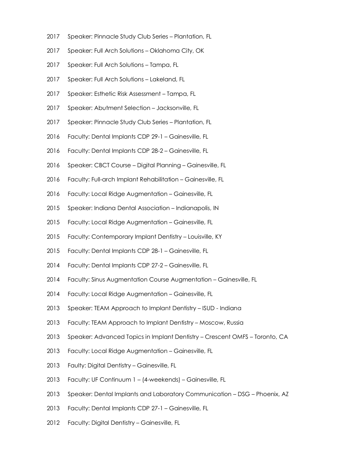- Speaker: Pinnacle Study Club Series Plantation, FL
- Speaker: Full Arch Solutions Oklahoma City, OK
- Speaker: Full Arch Solutions Tampa, FL
- Speaker: Full Arch Solutions Lakeland, FL
- Speaker: Esthetic Risk Assessment Tampa, FL
- Speaker: Abutment Selection Jacksonville, FL
- Speaker: Pinnacle Study Club Series Plantation, FL
- Faculty: Dental Implants CDP 29-1 Gainesville, FL
- Faculty: Dental Implants CDP 28-2 Gainesville, FL
- Speaker: CBCT Course Digital Planning Gainesville, FL
- Faculty: Full-arch Implant Rehabilitation Gainesville, FL
- Faculty: Local Ridge Augmentation Gainesville, FL
- Speaker: Indiana Dental Association Indianapolis, IN
- Faculty: Local Ridge Augmentation Gainesville, FL
- Faculty: Contemporary Implant Dentistry Louisville, KY
- Faculty: Dental Implants CDP 28-1 Gainesville, FL
- Faculty: Dental Implants CDP 27-2 Gainesville, FL
- Faculty: Sinus Augmentation Course Augmentation Gainesville, FL
- Faculty: Local Ridge Augmentation Gainesville, FL
- Speaker: TEAM Approach to Implant Dentistry ISUD Indiana
- Faculty: TEAM Approach to Implant Dentistry Moscow, Russia
- Speaker: Advanced Topics in Implant Dentistry Crescent OMFS Toronto, CA
- Faculty: Local Ridge Augmentation Gainesville, FL
- Faulty: Digital Dentistry Gainesville, FL
- Faculty: UF Continuum 1 (4-weekends) Gainesville, FL
- Speaker: Dental Implants and Laboratory Communication DSG Phoenix, AZ
- Faculty: Dental Implants CDP 27-1 Gainesville, FL
- Faculty: Digital Dentistry Gainesville, FL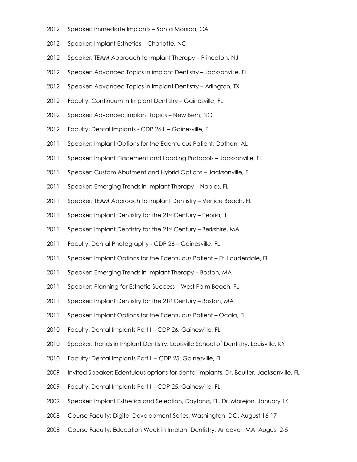- 2012 Speaker: Immediate Implants Santa Monica, CA
- 2012 Speaker: Implant Esthetics Charlotte, NC
- 2012 Speaker: TEAM Approach to Implant Therapy Princeton, NJ
- 2012 Speaker: Advanced Topics in implant Dentistry Jacksonville, FL
- 2012 Speaker: Advanced Topics in Implant Dentistry Arlington, TX
- 2012 Faculty: Continuum in Implant Dentistry Gainesville, FL
- 2012 Speaker: Advanced Implant Topics New Bern, NC
- 2012 Faculty: Dental Implants CDP 26 II Gainesville, FL
- 2011 Speaker: Implant Options for the Edentulous Patient, Dothan, AL
- 2011 Speaker: Implant Placement and Loading Protocols Jacksonville, FL
- 2011 Speaker: Custom Abutment and Hybrid Options Jacksonville, FL
- 2011 Speaker: Emerging Trends in Implant Therapy Naples, FL
- 2011 Speaker: TEAM Approach to Implant Dentistry Venice Beach, FL
- 2011 Speaker: Implant Dentistry for the 21st Century Peoria, IL
- 2011 Speaker: Implant Dentistry for the 21st Century Berkshire, MA
- 2011 Faculty: Dental Photography CDP 26 Gainesville, FL
- 2011 Speaker: Implant Options for the Edentulous Patient Ft. Lauderdale, FL
- 2011 Speaker: Emerging Trends in Implant Therapy Boston, MA
- 2011 Speaker: Planning for Esthetic Success West Palm Beach, FL
- 2011 Speaker: Implant Dentistry for the 21st Century Boston, MA
- 2011 Speaker: Implant Options for the Edentulous Patient Ocala, FL
- 2010 Faculty: Dental Implants Part I CDP 26. Gainesville, FL
- 2010 Speaker: Trends in Implant Dentistry: Louisville School of Dentistry, Louisville, KY
- 2010 Faculty: Dental Implants Part II CDP 25. Gainesville, FL
- 2009 Invited Speaker: Edentulous options for dental implants. Dr. Boulter, Jacksonville, FL
- 2009 Faculty: Dental Implants Part I CDP 25. Gainesville, FL
- 2009 Speaker: Implant Esthetics and Selection, Daytona, FL. Dr. Morejon. January 16
- 2008 Course Faculty: Digital Development Series, Washington, DC. August 16-17
- 2008 Course Faculty: Education Week in Implant Dentistry, Andover, MA. August 2-5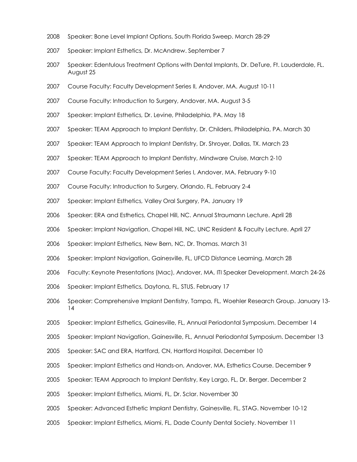- Speaker: Bone Level Implant Options, South Florida Sweep. March 28-29
- Speaker: Implant Esthetics, Dr. McAndrew. September 7
- Speaker: Edentulous Treatment Options with Dental Implants, Dr. DeTure, Ft. Lauderdale, FL. August 25
- Course Faculty: Faculty Development Series II, Andover, MA. August 10-11
- Course Faculty: Introduction to Surgery, Andover, MA. August 3-5
- Speaker: Implant Esthetics, Dr. Levine, Philadelphia, PA. May 18
- Speaker: TEAM Approach to Implant Dentistry, Dr. Childers, Philadelphia, PA. March 30
- Speaker: TEAM Approach to Implant Dentistry, Dr. Shroyer, Dallas, TX. March 23
- Speaker: TEAM Approach to Implant Dentistry, Mindware Cruise, March 2-10
- Course Faculty: Faculty Development Series I, Andover, MA. February 9-10
- Course Faculty: Introduction to Surgery, Orlando, FL. February 2-4
- Speaker: Implant Esthetics, Valley Oral Surgery, PA. January 19
- Speaker: ERA and Esthetics, Chapel Hill, NC. Annual Straumann Lecture. April 28
- 2006 Speaker: Implant Navigation, Chapel Hill, NC, UNC Resident & Faculty Lecture. April 27
- Speaker: Implant Esthetics, New Bern, NC, Dr. Thomas. March 31
- Speaker: Implant Navigation, Gainesville, FL, UFCD Distance Learning. March 28
- 2006 Faculty: Keynote Presentations (Mac), Andover, MA, ITI Speaker Development. March 24-26
- 2006 Speaker: Implant Esthetics, Daytona, FL, STUS. February 17
- 2006 Speaker: Comprehensive Implant Dentistry, Tampa, FL, Woehler Research Group. January 13-
- Speaker: Implant Esthetics, Gainesville, FL, Annual Periodontal Symposium. December 14
- 2005 Speaker: Implant Navigation, Gainesville, FL, Annual Periodontal Symposium. December 13
- Speaker: SAC and ERA, Hartford, CN, Hartford Hospital. December 10
- Speaker: Implant Esthetics and Hands-on, Andover, MA, Esthetics Course. December 9
- Speaker: TEAM Approach to Implant Dentistry, Key Largo, FL, Dr. Berger. December 2
- Speaker: Implant Esthetics, Miami, FL, Dr. Sclar. November 30
- Speaker: Advanced Esthetic Implant Dentistry, Gainesville, FL, STAG. November 10-12
- Speaker: Implant Esthetics, Miami, FL, Dade County Dental Society. November 11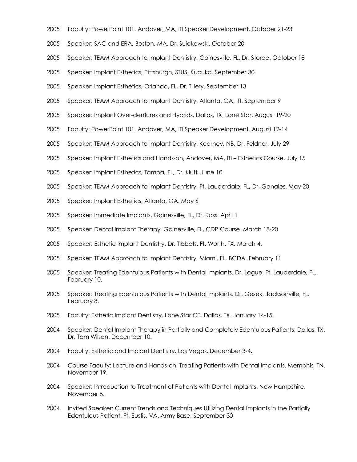- Faculty: PowerPoint 101, Andover, MA, ITI Speaker Development. October 21-23
- Speaker: SAC and ERA, Boston, MA, Dr. Suiokowski. October 20
- Speaker: TEAM Approach to Implant Dentistry, Gainesville, FL, Dr. Storoe. October 18
- Speaker: Implant Esthetics, Pittsburgh, STUS, Kucuka. September 30
- Speaker: Implant Esthetics, Orlando, FL, Dr. Tillery. September 13
- Speaker: TEAM Approach to Implant Dentistry, Atlanta, GA, ITI. September 9
- Speaker: Implant Over-dentures and Hybrids, Dallas, TX, Lone Star. August 19-20
- Faculty: PowerPoint 101, Andover, MA, ITI Speaker Development. August 12-14
- Speaker: TEAM Approach to Implant Dentistry, Kearney, NB, Dr. Feldner. July 29
- Speaker: Implant Esthetics and Hands-on, Andover, MA, ITI Esthetics Course. July 15
- Speaker: Implant Esthetics, Tampa, FL, Dr. Kluft. June 10
- 2005 Speaker: TEAM Approach to Implant Dentistry, Ft. Lauderdale, FL, Dr. Ganales. May 20
- Speaker: Implant Esthetics, Atlanta, GA. May 6
- Speaker: Immediate Implants, Gainesville, FL, Dr. Ross. April 1
- Speaker: Dental Implant Therapy, Gainesville, FL, CDP Course. March 18-20
- Speaker: Esthetic Implant Dentistry. Dr. Tibbets. Ft. Worth, TX. March 4.
- Speaker: TEAM Approach to Implant Dentistry, Miami, FL, BCDA. February 11
- Speaker: Treating Edentulous Patients with Dental Implants. Dr. Logue. Ft. Lauderdale, FL. February 10.
- Speaker: Treating Edentulous Patients with Dental Implants. Dr. Gesek. Jacksonville, FL. February 8.
- Faculty: Esthetic Implant Dentistry. Lone Star CE. Dallas, TX. January 14-15.
- Speaker: Dental Implant Therapy in Partially and Completely Edentulous Patients. Dallas, TX. Dr. Tom Wilson. December 10.
- 2004 Faculty: Esthetic and Implant Dentistry. Las Vegas. December 3-4.
- Course Faculty: Lecture and Hands-on. Treating Patients with Dental Implants. Memphis, TN. November 19.
- Speaker: Introduction to Treatment of Patients with Dental Implants. New Hampshire. November 5.
- Invited Speaker: Current Trends and Techniques Utilizing Dental Implants in the Partially Edentulous Patient. Ft. Eustis, VA. Army Base, September 30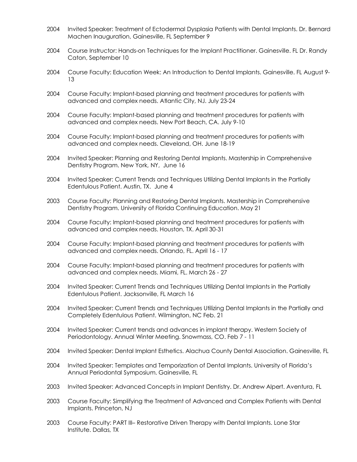- 2004 Invited Speaker: Treatment of Ectodermal Dysplasia Patients with Dental Implants. Dr. Bernard Machen Inauguration, Gainesville, FL September 9
- 2004 Course Instructor: Hands-on Techniques for the Implant Practitioner. Gainesville. FL Dr. Randy Caton, September 10
- 2004 Course Faculty: Education Week: An Introduction to Dental Implants. Gainesville. FL August 9- 13
- 2004 Course Faculty: Implant-based planning and treatment procedures for patients with advanced and complex needs. Atlantic City, NJ. July 23-24
- 2004 Course Faculty: Implant-based planning and treatment procedures for patients with advanced and complex needs. New Port Beach, CA. July 9-10
- 2004 Course Faculty: Implant-based planning and treatment procedures for patients with advanced and complex needs. Cleveland, OH. June 18-19
- 2004 Invited Speaker: Planning and Restoring Dental Implants. Mastership in Comprehensive Dentistry Program. New York, NY, June 16
- 2004 Invited Speaker: Current Trends and Techniques Utilizing Dental Implants in the Partially Edentulous Patient. Austin, TX. June 4
- 2003 Course Faculty: Planning and Restoring Dental Implants. Mastership in Comprehensive Dentistry Program. University of Florida Continuing Education. May 21
- 2004 Course Faculty: Implant-based planning and treatment procedures for patients with advanced and complex needs. Houston, TX. April 30-31
- 2004 Course Faculty: Implant-based planning and treatment procedures for patients with advanced and complex needs. Orlando, FL. April 16 - 17
- 2004 Course Faculty: Implant-based planning and treatment procedures for patients with advanced and complex needs. Miami, FL. March 26 - 27
- 2004 Invited Speaker: Current Trends and Techniques Utilizing Dental Implants in the Partially Edentulous Patient. Jacksonville, FL March 16
- 2004 Invited Speaker: Current Trends and Techniques Utilizing Dental Implants in the Partially and Completely Edentulous Patient. Wilmington, NC Feb. 21
- 2004 Invited Speaker: Current trends and advances in implant therapy. Western Society of Periodontology. Annual Winter Meeting. Snowmass, CO. Feb 7 - 11
- 2004 Invited Speaker: Dental Implant Esthetics. Alachua County Dental Association. Gainesville, FL
- 2004 Invited Speaker: Templates and Temporization of Dental Implants. University of Florida's Annual Periodontal Symposium. Gainesville, FL
- 2003 Invited Speaker: Advanced Concepts in Implant Dentistry. Dr. Andrew Alpert. Aventura, FL
- 2003 Course Faculty: Simplifying the Treatment of Advanced and Complex Patients with Dental Implants. Princeton, NJ
- 2003 Course Faculty: PART III- Restorative Driven Therapy with Dental Implants. Lone Star Institute. Dallas, TX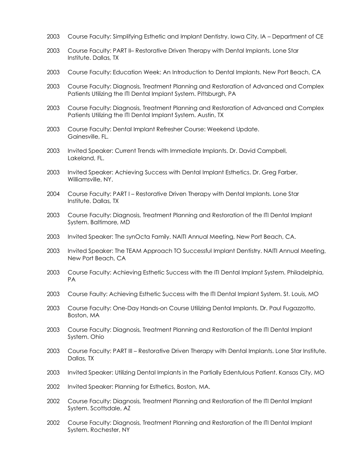- 2003 Course Faculty: Simplifying Esthetic and Implant Dentistry. Iowa City, IA Department of CE
- 2003 Course Faculty: PART II– Restorative Driven Therapy with Dental Implants. Lone Star Institute. Dallas, TX
- 2003 Course Faculty: Education Week: An Introduction to Dental Implants. New Port Beach, CA
- 2003 Course Faculty: Diagnosis, Treatment Planning and Restoration of Advanced and Complex Patients Utilizing the ITI Dental Implant System. Pittsburgh, PA
- 2003 Course Faculty: Diagnosis, Treatment Planning and Restoration of Advanced and Complex Patients Utilizing the ITI Dental Implant System. Austin, TX
- 2003 Course Faculty: Dental Implant Refresher Course: Weekend Update. Gainesville, FL.
- 2003 Invited Speaker: Current Trends with Immediate Implants. Dr. David Campbell, Lakeland, FL.
- 2003 Invited Speaker: Achieving Success with Dental Implant Esthetics. Dr. Greg Farber, Williamsville, NY.
- 2004 Course Faculty: PART I Restorative Driven Therapy with Dental Implants. Lone Star Institute. Dallas, TX
- 2003 Course Faculty: Diagnosis, Treatment Planning and Restoration of the ITI Dental Implant System. Baltimore, MD
- 2003 Invited Speaker: The synOcta Family. NAITI Annual Meeting, New Port Beach, CA.
- 2003 Invited Speaker: The TEAM Approach TO Successful Implant Dentistry. NAITI Annual Meeting, New Port Beach, CA
- 2003 Course Faculty: Achieving Esthetic Success with the ITI Dental Implant System. Philadelphia, PA
- 2003 Course Faulty: Achieving Esthetic Success with the ITI Dental Implant System. St. Louis, MO
- 2003 Course Faculty: One-Day Hands-on Course Utilizing Dental Implants. Dr. Paul Fugazzotto, Boston, MA
- 2003 Course Faculty: Diagnosis, Treatment Planning and Restoration of the ITI Dental Implant System. Ohio
- 2003 Course Faculty: PART III Restorative Driven Therapy with Dental Implants. Lone Star Institute. Dallas, TX
- 2003 Invited Speaker: Utilizing Dental Implants in the Partially Edentulous Patient. Kansas City, MO
- 2002 Invited Speaker: Planning for Esthetics, Boston, MA.
- 2002 Course Faculty: Diagnosis, Treatment Planning and Restoration of the ITI Dental Implant System. Scottsdale, AZ
- 2002 Course Faculty: Diagnosis, Treatment Planning and Restoration of the ITI Dental Implant System. Rochester, NY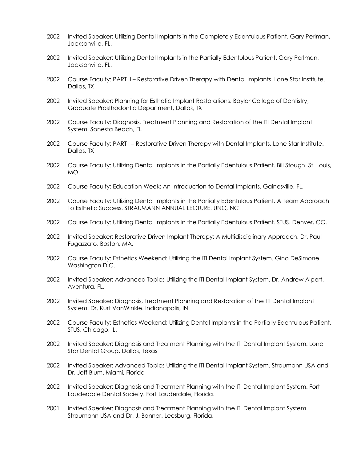- 2002 Invited Speaker: Utilizing Dental Implants in the Completely Edentulous Patient. Gary Perlman, Jacksonville, FL.
- 2002 Invited Speaker: Utilizing Dental Implants in the Partially Edentulous Patient. Gary Perlman, Jacksonville, FL.
- 2002 Course Faculty: PART II Restorative Driven Therapy with Dental Implants. Lone Star Institute. Dallas, TX
- 2002 Invited Speaker: Planning for Esthetic Implant Restorations. Baylor College of Dentistry, Graduate Prosthodontic Department, Dallas, TX
- 2002 Course Faculty: Diagnosis, Treatment Planning and Restoration of the ITI Dental Implant System. Sonesta Beach, FL
- 2002 Course Faculty: PART I Restorative Driven Therapy with Dental Implants. Lone Star Institute. Dallas, TX
- 2002 Course Faculty: Utilizing Dental Implants in the Partially Edentulous Patient. Bill Stough. St. Louis, MO.
- 2002 Course Faculty: Education Week: An Introduction to Dental Implants. Gainesville, FL.
- 2002 Course Faculty: Utilizing Dental Implants in the Partially Edentulous Patient, A Team Approach To Esthetic Success. STRAUMANN ANNUAL LECTURE. UNC, NC
- 2002 Course Faculty: Utilizing Dental Implants in the Partially Edentulous Patient. STUS. Denver, CO.
- 2002 Invited Speaker: Restorative Driven Implant Therapy: A Multidisciplinary Approach. Dr. Paul Fugazzato. Boston, MA.
- 2002 Course Faculty: Esthetics Weekend: Utilizing the ITI Dental Implant System. Gino DeSimone. Washington D.C.
- 2002 Invited Speaker: Advanced Topics Utilizing the ITI Dental Implant System. Dr. Andrew Alpert. Aventura, FL.
- 2002 Invited Speaker: Diagnosis, Treatment Planning and Restoration of the ITI Dental Implant System. Dr. Kurt VanWinkle. Indianapolis, IN
- 2002 Course Faculty: Esthetics Weekend: Utilizing Dental Implants in the Partially Edentulous Patient. STUS. Chicago, IL.
- 2002 Invited Speaker: Diagnosis and Treatment Planning with the ITI Dental Implant System. Lone Star Dental Group. Dallas, Texas
- 2002 Invited Speaker: Advanced Topics Utilizing the ITI Dental Implant System. Straumann USA and Dr. Jeff Blum. Miami, Florida
- 2002 Invited Speaker: Diagnosis and Treatment Planning with the ITI Dental Implant System. Fort Lauderdale Dental Society. Fort Lauderdale, Florida.
- 2001 Invited Speaker: Diagnosis and Treatment Planning with the ITI Dental Implant System. Straumann USA and Dr. J. Bonner. Leesburg, Florida.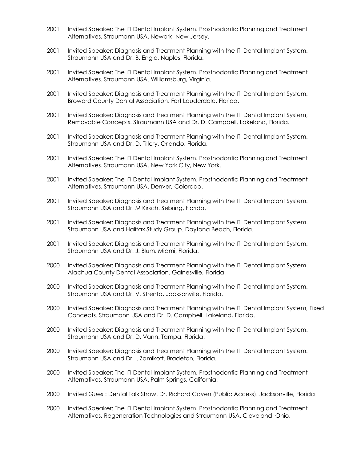- 2001 Invited Speaker: The ITI Dental Implant System. Prosthodontic Planning and Treatment Alternatives. Straumann USA. Newark, New Jersey.
- 2001 Invited Speaker: Diagnosis and Treatment Planning with the ITI Dental Implant System. Straumann USA and Dr. B. Engle. Naples, Florida.
- 2001 Invited Speaker: The ITI Dental Implant System. Prosthodontic Planning and Treatment Alternatives. Straumann USA. Williamsburg, Virginia.
- 2001 Invited Speaker: Diagnosis and Treatment Planning with the ITI Dental Implant System. Broward County Dental Association. Fort Lauderdale, Florida.
- 2001 Invited Speaker: Diagnosis and Treatment Planning with the ITI Dental Implant System, Removable Concepts. Straumann USA and Dr. D. Campbell. Lakeland, Florida.
- 2001 Invited Speaker: Diagnosis and Treatment Planning with the ITI Dental Implant System. Straumann USA and Dr. D. Tillery. Orlando, Florida.
- 2001 Invited Speaker: The ITI Dental Implant System. Prosthodontic Planning and Treatment Alternatives. Straumann USA. New York City, New York.
- 2001 Invited Speaker: The ITI Dental Implant System. Prosthodontic Planning and Treatment Alternatives. Straumann USA. Denver, Colorado.
- 2001 Invited Speaker: Diagnosis and Treatment Planning with the ITI Dental Implant System. Straumann USA and Dr. M Kirsch. Sebring, Florida.
- 2001 Invited Speaker: Diagnosis and Treatment Planning with the ITI Dental Implant System. Straumann USA and Halifax Study Group. Daytona Beach, Florida.
- 2001 Invited Speaker: Diagnosis and Treatment Planning with the ITI Dental Implant System. Straumann USA and Dr. J. Blum. Miami, Florida.
- 2000 Invited Speaker: Diagnosis and Treatment Planning with the ITI Dental Implant System. Alachua County Dental Association. Gainesville, Florida.
- 2000 Invited Speaker: Diagnosis and Treatment Planning with the ITI Dental Implant System. Straumann USA and Dr. V. Strenta. Jacksonville, Florida.
- 2000 Invited Speaker: Diagnosis and Treatment Planning with the ITI Dental Implant System, Fixed Concepts. Straumann USA and Dr. D. Campbell. Lakeland, Florida.
- 2000 Invited Speaker: Diagnosis and Treatment Planning with the ITI Dental Implant System. Straumann USA and Dr. D. Vann. Tampa, Florida.
- 2000 Invited Speaker: Diagnosis and Treatment Planning with the ITI Dental Implant System. Straumann USA and Dr. I. Zamikoff. Bradeton, Florida.
- 2000 Invited Speaker: The ITI Dental Implant System. Prosthodontic Planning and Treatment Alternatives. Straumann USA. Palm Springs, California.
- 2000 Invited Guest: Dental Talk Show. Dr. Richard Caven (Public Access). Jacksonville, Florida
- 2000 Invited Speaker: The ITI Dental Implant System. Prosthodontic Planning and Treatment Alternatives. Regeneration Technologies and Straumann USA. Cleveland, Ohio.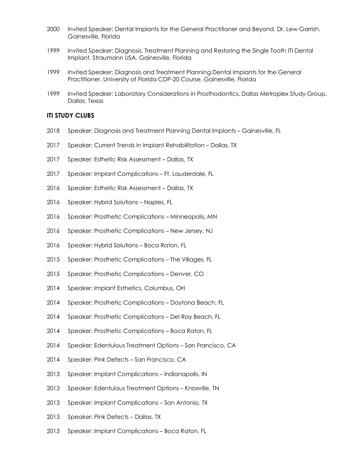- Invited Speaker: Dental Implants for the General Practitioner and Beyond. Dr. Lew Garrish. Gainesville, Florida
- Invited Speaker: Diagnosis, Treatment Planning and Restoring the Single Tooth ITI Dental Implant. Straumann USA. Gainesville, Florida
- Invited Speaker: Diagnosis and Treatment Planning Dental Implants for the General Practitioner. University of Florida CDP-20 Course. Gainesville, Florida
- 1999 Invited Speaker: Laboratory Considerations in Prosthodontics. Dallas Metroplex Study Group. Dallas, Texas

## **ITI STUDY CLUBS**

- Speaker: Diagnosis and Treatment Planning Dental Implants Gainesville, FL
- Speaker: Current Trends in Implant Rehabilitation Dallas, TX
- Speaker: Esthetic Risk Assessment Dallas, TX
- Speaker: Implant Complications Ft. Lauderdale, FL
- Speaker: Esthetic Risk Assessment Dallas, TX
- Speaker: Hybrid Solutions Naples, FL
- Speaker: Prosthetic Complications Minneapolis, MN
- Speaker: Prosthetic Complications New Jersey, NJ
- Speaker: Hybrid Solutions Boca Raton, FL
- Speaker: Prosthetic Complications The Villages, FL
- Speaker: Prosthetic Complications Denver, CO
- Speaker: Implant Esthetics, Columbus, OH
- Speaker: Prosthetic Complications Daytona Beach, FL
- Speaker: Prosthetic Complications Del Ray Beach, FL
- Speaker: Prosthetic Complications Boca Raton, FL
- Speaker: Edentulous Treatment Options San Francisco, CA
- Speaker: Pink Defects San Francisco, CA
- Speaker: Implant Complications Indianapolis, IN
- Speaker: Edentulous Treatment Options Knoxville, TN
- Speaker: Implant Complications San Antonio, TX
- Speaker: Pink Defects Dallas, TX
- Speaker: Implant Complications Boca Raton, FL